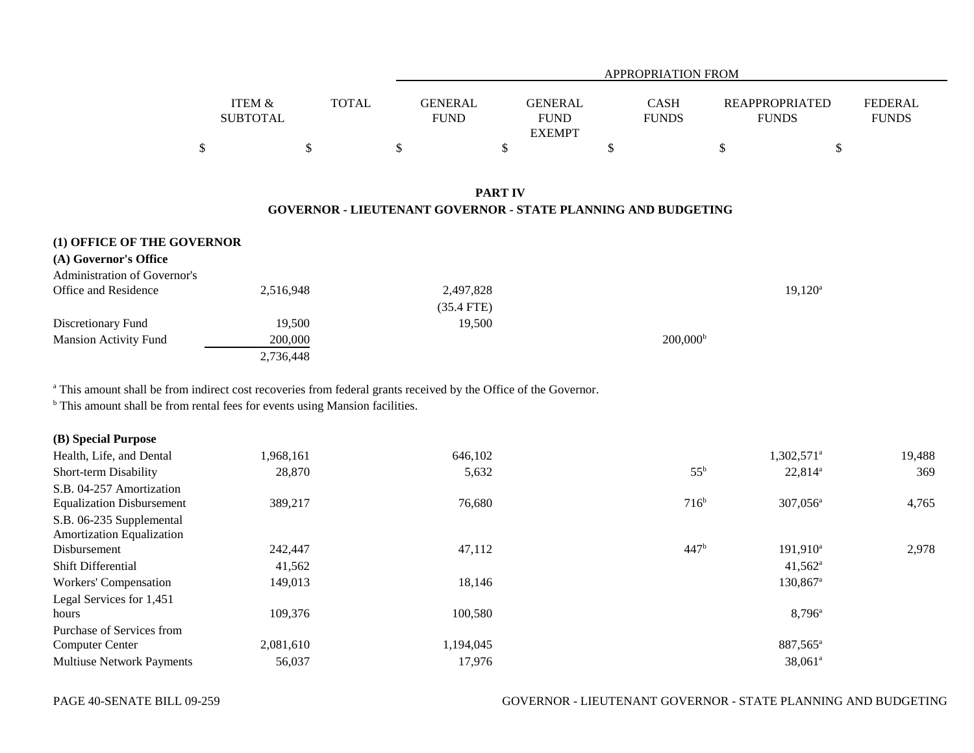|                                                                                        |                                      |              | <b>APPROPRIATION FROM</b>     |                                                |                             |                                       |                                |  |
|----------------------------------------------------------------------------------------|--------------------------------------|--------------|-------------------------------|------------------------------------------------|-----------------------------|---------------------------------------|--------------------------------|--|
|                                                                                        | <b>ITEM &amp;</b><br><b>SUBTOTAL</b> | <b>TOTAL</b> | <b>GENERAL</b><br><b>FUND</b> | <b>GENERAL</b><br><b>FUND</b><br><b>EXEMPT</b> | <b>CASH</b><br><b>FUNDS</b> | <b>REAPPROPRIATED</b><br><b>FUNDS</b> | <b>FEDERAL</b><br><b>FUNDS</b> |  |
|                                                                                        | \$                                   | \$           | \$                            | \$                                             | \$                          | \$                                    | \$                             |  |
| <b>PART IV</b><br><b>GOVERNOR - LIEUTENANT GOVERNOR - STATE PLANNING AND BUDGETING</b> |                                      |              |                               |                                                |                             |                                       |                                |  |
| (1) OFFICE OF THE GOVERNOR<br>(A) Governor's Office                                    |                                      |              |                               |                                                |                             |                                       |                                |  |
| <b>Administration of Governor's</b><br>Office and Residence                            | 2,516,948                            |              | 2,497,828<br>$(35.4$ FTE)     |                                                |                             | $19,120^a$                            |                                |  |
| Discretionary Fund<br><b>Mansion Activity Fund</b>                                     | 19,500<br>200,000<br>2,736,448       |              | 19,500                        |                                                | $200,000^{\rm b}$           |                                       |                                |  |

a This amount shall be from indirect cost recoveries from federal grants received by the Office of the Governor.

<sup>b</sup> This amount shall be from rental fees for events using Mansion facilities.

| (B) Special Purpose              |           |           |                  |                        |        |
|----------------------------------|-----------|-----------|------------------|------------------------|--------|
| Health, Life, and Dental         | 1,968,161 | 646,102   |                  | 1,302,571 <sup>a</sup> | 19,488 |
| Short-term Disability            | 28,870    | 5,632     | $55^{\rm b}$     | $22,814^{\circ}$       | 369    |
| S.B. 04-257 Amortization         |           |           |                  |                        |        |
| <b>Equalization Disbursement</b> | 389,217   | 76,680    | 716 <sup>b</sup> | $307,056^{\circ}$      | 4,765  |
| S.B. 06-235 Supplemental         |           |           |                  |                        |        |
| <b>Amortization Equalization</b> |           |           |                  |                        |        |
| Disbursement                     | 242,447   | 47,112    | 447 <sup>b</sup> | $191,910^a$            | 2,978  |
| Shift Differential               | 41,562    |           |                  | $41,562^{\rm a}$       |        |
| Workers' Compensation            | 149,013   | 18,146    |                  | 130,867 <sup>a</sup>   |        |
| Legal Services for 1,451         |           |           |                  |                        |        |
| hours                            | 109,376   | 100,580   |                  | $8,796^{\circ}$        |        |
| Purchase of Services from        |           |           |                  |                        |        |
| <b>Computer Center</b>           | 2,081,610 | 1,194,045 |                  | 887,565 <sup>a</sup>   |        |
| <b>Multiuse Network Payments</b> | 56,037    | 17,976    |                  | $38,061^{\circ}$       |        |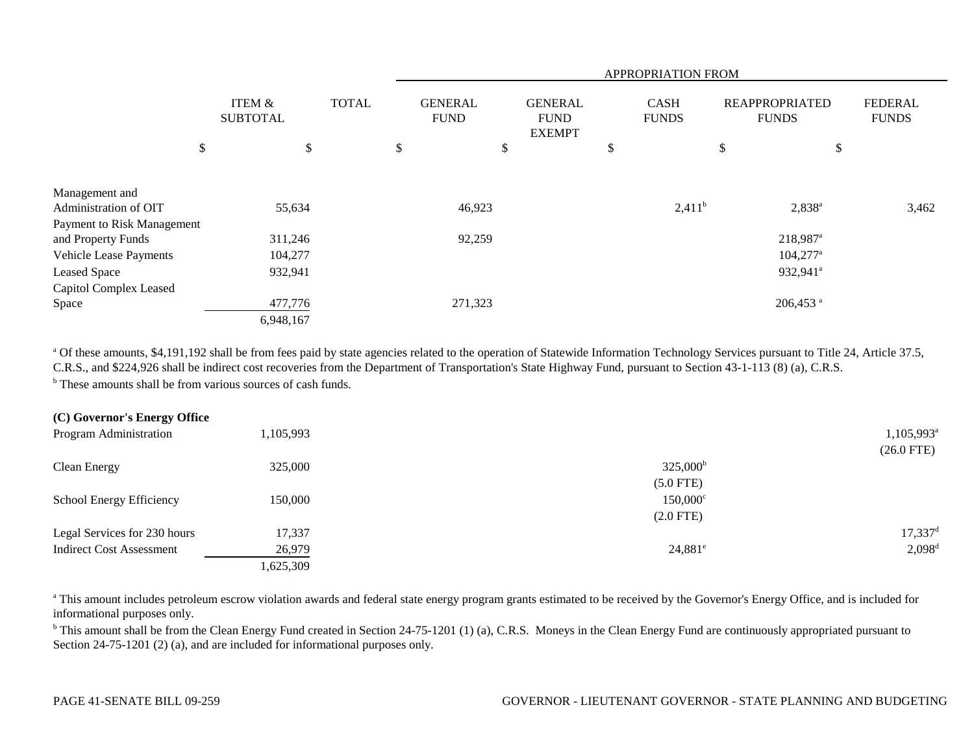|                            |                           |              | APPROPRIATION FROM                                                              |    |                             |                                       |                                |  |  |  |
|----------------------------|---------------------------|--------------|---------------------------------------------------------------------------------|----|-----------------------------|---------------------------------------|--------------------------------|--|--|--|
|                            | ITEM &<br><b>SUBTOTAL</b> | <b>TOTAL</b> | <b>GENERAL</b><br><b>GENERAL</b><br><b>FUND</b><br><b>FUND</b><br><b>EXEMPT</b> |    | <b>CASH</b><br><b>FUNDS</b> | <b>REAPPROPRIATED</b><br><b>FUNDS</b> | <b>FEDERAL</b><br><b>FUNDS</b> |  |  |  |
| \$                         | \$                        |              | \$                                                                              | \$ | \$                          | \$<br>\$                              |                                |  |  |  |
| Management and             |                           |              |                                                                                 |    |                             |                                       |                                |  |  |  |
| Administration of OIT      | 55,634                    |              | 46,923                                                                          |    | $2,411^b$                   | $2,838^a$                             | 3,462                          |  |  |  |
| Payment to Risk Management |                           |              |                                                                                 |    |                             |                                       |                                |  |  |  |
| and Property Funds         | 311,246                   |              | 92,259                                                                          |    |                             | 218,987 <sup>a</sup>                  |                                |  |  |  |
| Vehicle Lease Payments     | 104,277                   |              |                                                                                 |    |                             | $104,277$ <sup>a</sup>                |                                |  |  |  |
| <b>Leased Space</b>        | 932,941                   |              |                                                                                 |    |                             | 932,941 <sup>a</sup>                  |                                |  |  |  |
| Capitol Complex Leased     |                           |              |                                                                                 |    |                             |                                       |                                |  |  |  |
| Space                      | 477,776                   |              | 271,323                                                                         |    |                             | $206,453$ <sup>a</sup>                |                                |  |  |  |
|                            | 6,948,167                 |              |                                                                                 |    |                             |                                       |                                |  |  |  |

<sup>a</sup> Of these amounts, \$4,191,192 shall be from fees paid by state agencies related to the operation of Statewide Information Technology Services pursuant to Title 24, Article 37.5, C.R.S., and \$224,926 shall be indirect cost recoveries from the Department of Transportation's State Highway Fund, pursuant to Section 43-1-113 (8) (a), C.R.S. <sup>b</sup> These amounts shall be from various sources of cash funds.

| (C) Governor's Energy Office    |           |                   |                        |
|---------------------------------|-----------|-------------------|------------------------|
| Program Administration          | 1,105,993 |                   | 1,105,993 <sup>a</sup> |
|                                 |           |                   | $(26.0$ FTE)           |
| Clean Energy                    | 325,000   | $325,000^{\rm b}$ |                        |
|                                 |           | $(5.0$ FTE)       |                        |
| School Energy Efficiency        | 150,000   | $150,000^{\circ}$ |                        |
|                                 |           | $(2.0$ FTE)       |                        |
| Legal Services for 230 hours    | 17,337    |                   | $17,337$ <sup>d</sup>  |
| <b>Indirect Cost Assessment</b> | 26,979    | $24,881^e$        | $2,098^{\rm d}$        |
|                                 | 1,625,309 |                   |                        |

<sup>a</sup> This amount includes petroleum escrow violation awards and federal state energy program grants estimated to be received by the Governor's Energy Office, and is included for informational purposes only.

<sup>b</sup> This amount shall be from the Clean Energy Fund created in Section 24-75-1201 (1) (a), C.R.S. Moneys in the Clean Energy Fund are continuously appropriated pursuant to Section 24-75-1201 (2) (a), and are included for informational purposes only.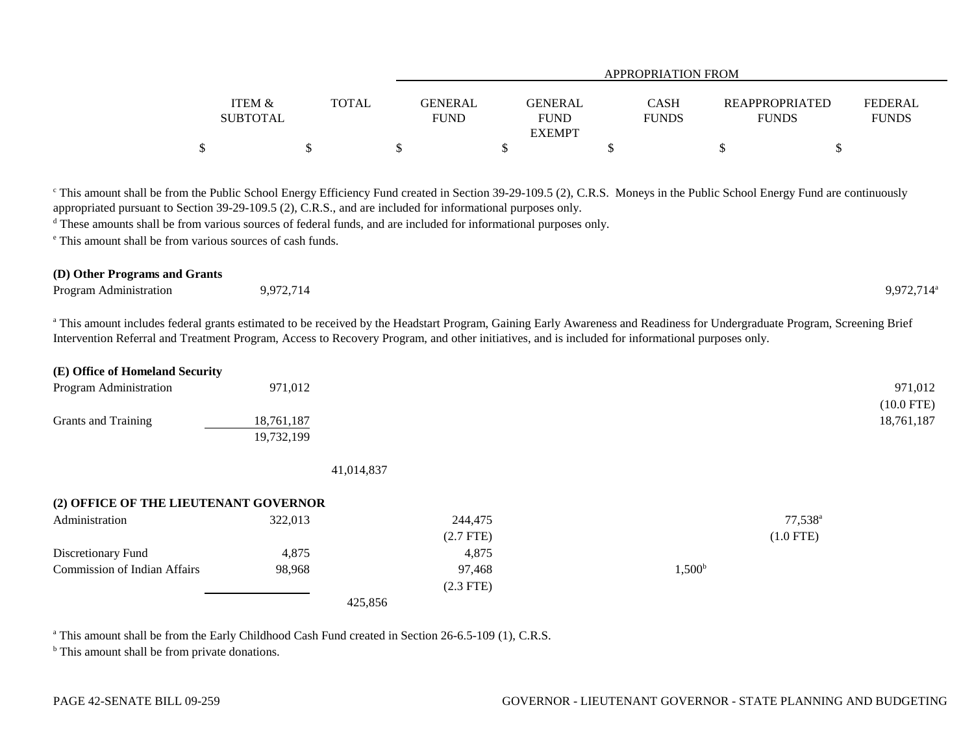|                           |              | <b>APPROPRIATION FROM</b>     |                                                |                             |                                       |                                |  |  |
|---------------------------|--------------|-------------------------------|------------------------------------------------|-----------------------------|---------------------------------------|--------------------------------|--|--|
| ITEM &<br><b>SUBTOTAL</b> | <b>TOTAL</b> | <b>GENERAL</b><br><b>FUND</b> | <b>GENERAL</b><br><b>FUND</b><br><b>EXEMPT</b> | <b>CASH</b><br><b>FUNDS</b> | <b>REAPPROPRIATED</b><br><b>FUNDS</b> | <b>FEDERAL</b><br><b>FUNDS</b> |  |  |
|                           |              |                               |                                                |                             |                                       |                                |  |  |

<sup>c</sup> This amount shall be from the Public School Energy Efficiency Fund created in Section 39-29-109.5 (2), C.R.S. Moneys in the Public School Energy Fund are continuously appropriated pursuant to Section 39-29-109.5 (2), C.R.S., and are included for informational purposes only.

<sup>d</sup> These amounts shall be from various sources of federal funds, and are included for informational purposes only.

e This amount shall be from various sources of cash funds.

## **(D) Other Programs and Grants**

| <b>Program Administration</b> | 9727'<br>714<br>$\sim$ $\sim$ $\sim$<br>$\ddot{\phantom{0}}$ |  | $9,972,714^{\circ}$ |
|-------------------------------|--------------------------------------------------------------|--|---------------------|
|-------------------------------|--------------------------------------------------------------|--|---------------------|

<sup>a</sup> This amount includes federal grants estimated to be received by the Headstart Program, Gaining Early Awareness and Readiness for Undergraduate Program, Screening Brief Intervention Referral and Treatment Program, Access to Recovery Program, and other initiatives, and is included for informational purposes only.

| (E) Office of Homeland Security       |            |             |                 |                  |
|---------------------------------------|------------|-------------|-----------------|------------------|
| Program Administration                | 971,012    |             |                 | 971,012          |
|                                       |            |             |                 | $(10.0$ FTE)     |
| Grants and Training                   | 18,761,187 |             |                 | 18,761,187       |
|                                       | 19,732,199 |             |                 |                  |
|                                       |            |             |                 |                  |
|                                       | 41,014,837 |             |                 |                  |
| (2) OFFICE OF THE LIEUTENANT GOVERNOR |            |             |                 |                  |
| Administration                        | 322,013    | 244,475     |                 | $77,538^{\circ}$ |
|                                       |            | $(2.7$ FTE) |                 | $(1.0$ FTE)      |
| Discretionary Fund                    | 4,875      | 4,875       |                 |                  |
| <b>Commission of Indian Affairs</b>   | 98,968     | 97,468      | $1,500^{\rm b}$ |                  |
|                                       |            | $(2.3$ FTE) |                 |                  |
|                                       | 425,856    |             |                 |                  |

<sup>a</sup> This amount shall be from the Early Childhood Cash Fund created in Section 26-6.5-109 (1), C.R.S.

<sup>b</sup> This amount shall be from private donations.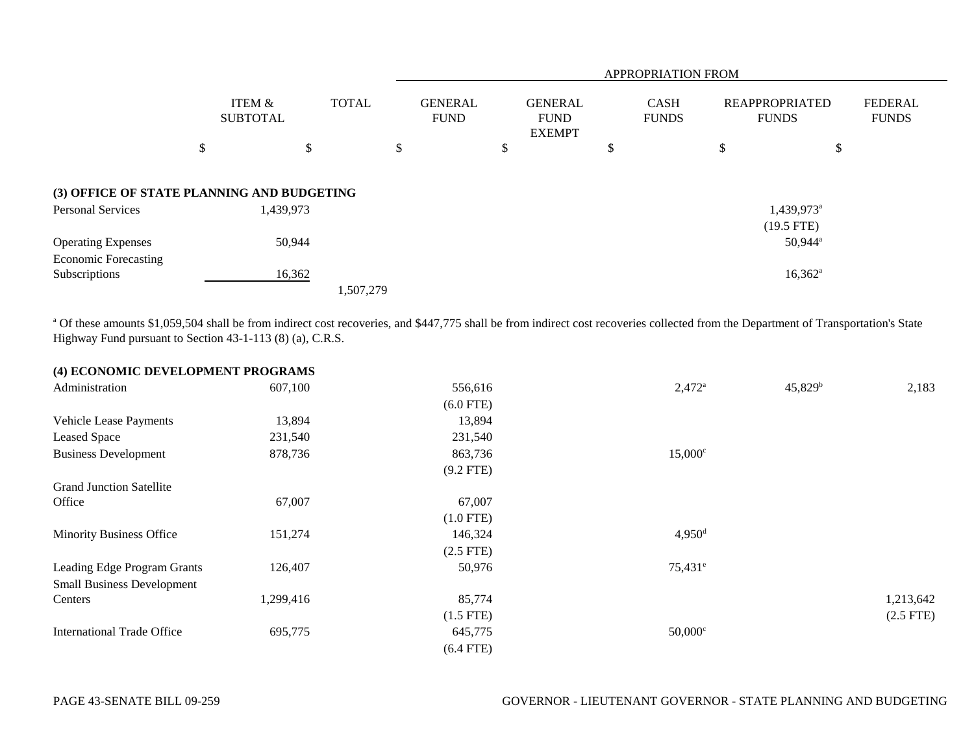|                                            |                           |              |                               | <b>APPROPRIATION FROM</b>                      |                             |                                       |                                |  |  |  |
|--------------------------------------------|---------------------------|--------------|-------------------------------|------------------------------------------------|-----------------------------|---------------------------------------|--------------------------------|--|--|--|
|                                            | ITEM &<br><b>SUBTOTAL</b> | <b>TOTAL</b> | <b>GENERAL</b><br><b>FUND</b> | <b>GENERAL</b><br><b>FUND</b><br><b>EXEMPT</b> | <b>CASH</b><br><b>FUNDS</b> | <b>REAPPROPRIATED</b><br><b>FUNDS</b> | <b>FEDERAL</b><br><b>FUNDS</b> |  |  |  |
|                                            | \$                        | \$           | \$                            | P                                              | \$                          | ₼<br>\$<br>Ф                          |                                |  |  |  |
| (3) OFFICE OF STATE PLANNING AND BUDGETING |                           |              |                               |                                                |                             |                                       |                                |  |  |  |
| <b>Personal Services</b>                   | 1,439,973                 |              |                               |                                                |                             | $1,439,973$ <sup>a</sup>              |                                |  |  |  |
|                                            |                           |              |                               |                                                |                             | $(19.5$ FTE)                          |                                |  |  |  |
| <b>Operating Expenses</b>                  |                           | 50,944       |                               |                                                |                             | $50,944$ <sup>a</sup>                 |                                |  |  |  |
| <b>Economic Forecasting</b>                |                           |              |                               |                                                |                             |                                       |                                |  |  |  |
| Subscriptions                              |                           | 16,362       |                               |                                                |                             | $16,362^{\rm a}$                      |                                |  |  |  |
|                                            |                           | 1,507,279    |                               |                                                |                             |                                       |                                |  |  |  |

<sup>a</sup> Of these amounts \$1,059,504 shall be from indirect cost recoveries, and \$447,775 shall be from indirect cost recoveries collected from the Department of Transportation's State Highway Fund pursuant to Section 43-1-113 (8) (a), C.R.S.

| (4) ECONOMIC DEVELOPMENT PROGRAMS |           |             |                      |                  |             |
|-----------------------------------|-----------|-------------|----------------------|------------------|-------------|
| Administration                    | 607,100   | 556,616     | $2,472^{\circ}$      | $45,829^{\rm b}$ | 2,183       |
|                                   |           | $(6.0$ FTE) |                      |                  |             |
| <b>Vehicle Lease Payments</b>     | 13,894    | 13,894      |                      |                  |             |
| <b>Leased Space</b>               | 231,540   | 231,540     |                      |                  |             |
| <b>Business Development</b>       | 878,736   | 863,736     | $15,000^{\circ}$     |                  |             |
|                                   |           | $(9.2$ FTE) |                      |                  |             |
| <b>Grand Junction Satellite</b>   |           |             |                      |                  |             |
| Office                            | 67,007    | 67,007      |                      |                  |             |
|                                   |           | $(1.0$ FTE) |                      |                  |             |
| <b>Minority Business Office</b>   | 151,274   | 146,324     | $4,950$ <sup>d</sup> |                  |             |
|                                   |           | $(2.5$ FTE) |                      |                  |             |
| Leading Edge Program Grants       | 126,407   | 50,976      | $75,431^e$           |                  |             |
| <b>Small Business Development</b> |           |             |                      |                  |             |
| Centers                           | 1,299,416 | 85,774      |                      |                  | 1,213,642   |
|                                   |           | $(1.5$ FTE) |                      |                  | $(2.5$ FTE) |
| <b>International Trade Office</b> | 695,775   | 645,775     | $50,000^{\circ}$     |                  |             |
|                                   |           | $(6.4$ FTE) |                      |                  |             |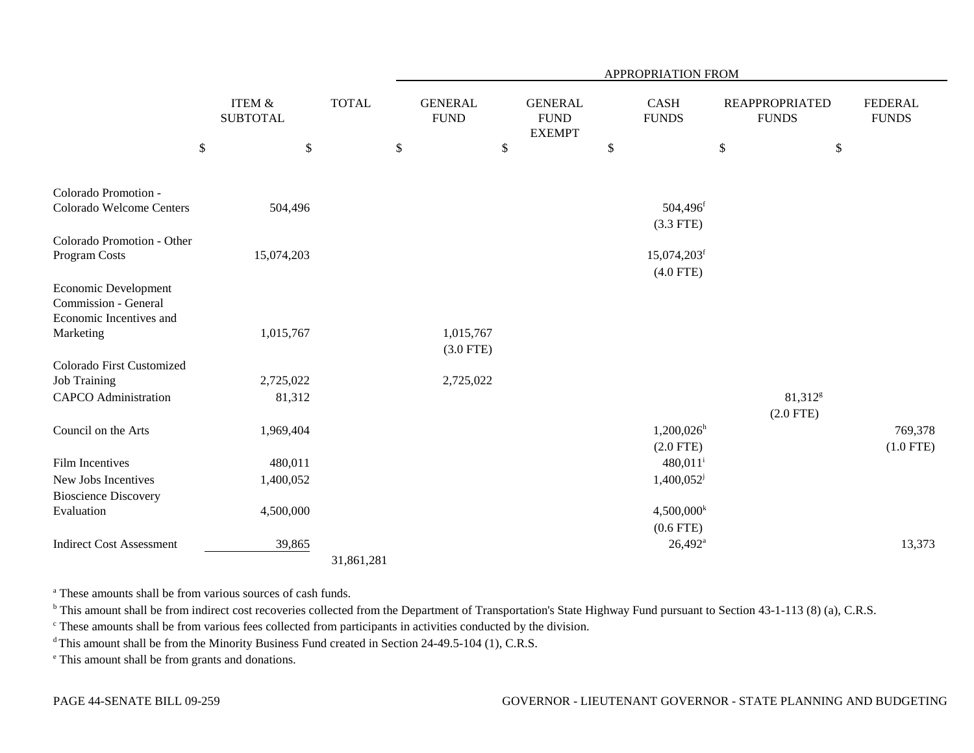|                                           |                                      |              |      |                               |                                                | APPROPRIATION FROM      |        |                                       |                                |
|-------------------------------------------|--------------------------------------|--------------|------|-------------------------------|------------------------------------------------|-------------------------|--------|---------------------------------------|--------------------------------|
|                                           | <b>ITEM &amp;</b><br><b>SUBTOTAL</b> | <b>TOTAL</b> |      | <b>GENERAL</b><br><b>FUND</b> | <b>GENERAL</b><br><b>FUND</b><br><b>EXEMPT</b> | CASH<br><b>FUNDS</b>    |        | <b>REAPPROPRIATED</b><br><b>FUNDS</b> | <b>FEDERAL</b><br><b>FUNDS</b> |
| $\$$                                      | $\$\,$                               |              | $\$$ |                               | \$                                             | \$                      | $\$\,$ | \$                                    |                                |
| Colorado Promotion -                      |                                      |              |      |                               |                                                |                         |        |                                       |                                |
| Colorado Welcome Centers                  | 504,496                              |              |      |                               |                                                | 504,496 <sup>f</sup>    |        |                                       |                                |
|                                           |                                      |              |      |                               |                                                | $(3.3$ FTE)             |        |                                       |                                |
| Colorado Promotion - Other                |                                      |              |      |                               |                                                |                         |        |                                       |                                |
| Program Costs                             | 15,074,203                           |              |      |                               |                                                | 15,074,203 <sup>f</sup> |        |                                       |                                |
|                                           |                                      |              |      |                               |                                                | $(4.0$ FTE)             |        |                                       |                                |
| Economic Development                      |                                      |              |      |                               |                                                |                         |        |                                       |                                |
| Commission - General                      |                                      |              |      |                               |                                                |                         |        |                                       |                                |
| Economic Incentives and                   |                                      |              |      |                               |                                                |                         |        |                                       |                                |
| Marketing                                 | 1,015,767                            |              |      | 1,015,767                     |                                                |                         |        |                                       |                                |
|                                           |                                      |              |      | $(3.0$ FTE)                   |                                                |                         |        |                                       |                                |
| Colorado First Customized                 |                                      |              |      |                               |                                                |                         |        |                                       |                                |
| <b>Job Training</b>                       | 2,725,022                            |              |      | 2,725,022                     |                                                |                         |        |                                       |                                |
| <b>CAPCO</b> Administration               | 81,312                               |              |      |                               |                                                |                         |        | 81,312 <sup>g</sup>                   |                                |
| Council on the Arts                       | 1,969,404                            |              |      |                               |                                                | $1,200,026^{\rm h}$     |        | $(2.0$ FTE)                           | 769,378                        |
|                                           |                                      |              |      |                               |                                                | $(2.0$ FTE)             |        |                                       |                                |
| <b>Film Incentives</b>                    | 480,011                              |              |      |                               |                                                | $480,011$ <sup>i</sup>  |        |                                       | $(1.0$ FTE)                    |
| New Jobs Incentives                       | 1,400,052                            |              |      |                               |                                                | 1,400,052               |        |                                       |                                |
|                                           |                                      |              |      |                               |                                                |                         |        |                                       |                                |
| <b>Bioscience Discovery</b><br>Evaluation | 4,500,000                            |              |      |                               |                                                | $4,500,000^k$           |        |                                       |                                |
|                                           |                                      |              |      |                               |                                                | $(0.6$ FTE)             |        |                                       |                                |
| <b>Indirect Cost Assessment</b>           | 39,865                               |              |      |                               |                                                | $26,492^a$              |        |                                       | 13,373                         |
|                                           |                                      | 31,861,281   |      |                               |                                                |                         |        |                                       |                                |

<sup>a</sup> These amounts shall be from various sources of cash funds.

<sup>b</sup> This amount shall be from indirect cost recoveries collected from the Department of Transportation's State Highway Fund pursuant to Section 43-1-113 (8) (a), C.R.S.

c These amounts shall be from various fees collected from participants in activities conducted by the division.

<sup>d</sup> This amount shall be from the Minority Business Fund created in Section 24-49.5-104 (1), C.R.S.

e This amount shall be from grants and donations.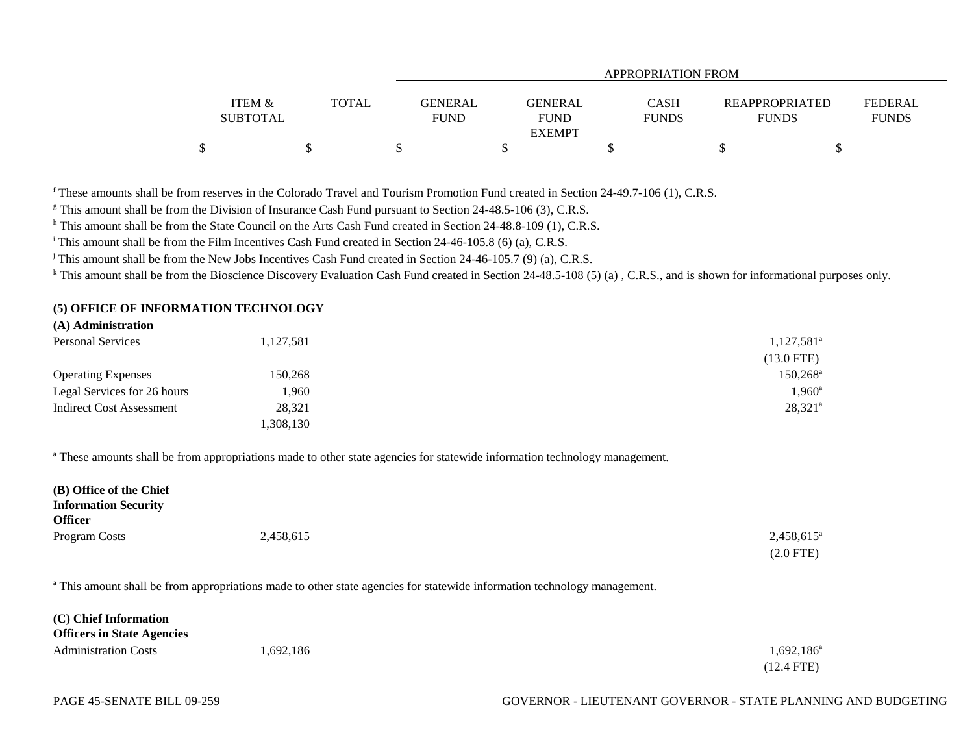|                   |              | APPROPRIATION FROM |               |              |                       |                |  |  |
|-------------------|--------------|--------------------|---------------|--------------|-----------------------|----------------|--|--|
|                   |              |                    |               |              |                       |                |  |  |
| <b>ITEM &amp;</b> | <b>TOTAL</b> | <b>GENERAL</b>     | GENERAL       | <b>CASH</b>  | <b>REAPPROPRIATED</b> | <b>FEDERAL</b> |  |  |
| <b>SUBTOTAL</b>   |              | <b>FUND</b>        | <b>FUND</b>   | <b>FUNDS</b> | <b>FUNDS</b>          | <b>FUNDS</b>   |  |  |
|                   |              |                    | <b>EXEMPT</b> |              |                       |                |  |  |
| \$                |              |                    |               |              |                       |                |  |  |

f These amounts shall be from reserves in the Colorado Travel and Tourism Promotion Fund created in Section 24-49.7-106 (1), C.R.S.

<sup>g</sup> This amount shall be from the Division of Insurance Cash Fund pursuant to Section 24-48.5-106 (3), C.R.S.

h This amount shall be from the State Council on the Arts Cash Fund created in Section 24-48.8-109 (1), C.R.S.

<sup>i</sup> This amount shall be from the Film Incentives Cash Fund created in Section 24-46-105.8 (6) (a), C.R.S.

<sup>j</sup> This amount shall be from the New Jobs Incentives Cash Fund created in Section 24-46-105.7 (9) (a), C.R.S.

<sup>k</sup> This amount shall be from the Bioscience Discovery Evaluation Cash Fund created in Section 24-48.5-108 (5) (a), C.R.S., and is shown for informational purposes only.

## **(5) OFFICE OF INFORMATION TECHNOLOGY**

## **(A) Administration**

| <b>Personal Services</b>        | 1,127,581 | $1,127,581^{\circ}$  |
|---------------------------------|-----------|----------------------|
|                                 |           | $(13.0$ FTE)         |
| <b>Operating Expenses</b>       | 150.268   | 150,268 <sup>a</sup> |
| Legal Services for 26 hours     | 1,960     | $1,960^{\circ}$      |
| <b>Indirect Cost Assessment</b> | 28,321    | $28,321^{\circ}$     |
|                                 | 1,308,130 |                      |

<sup>a</sup> These amounts shall be from appropriations made to other state agencies for statewide information technology management.

| (B) Office of the Chief     |           |                     |
|-----------------------------|-----------|---------------------|
| <b>Information Security</b> |           |                     |
| <b>Officer</b>              |           |                     |
| Program Costs               | 2,458,615 | $2,458,615^{\circ}$ |
|                             |           | $(2.0$ FTE)         |

<sup>a</sup> This amount shall be from appropriations made to other state agencies for statewide information technology management.

| (C) Chief Information             |          |                     |
|-----------------------------------|----------|---------------------|
| <b>Officers in State Agencies</b> |          |                     |
| <b>Administration Costs</b>       | .692.186 | $1,692,186^{\circ}$ |
|                                   |          | $(12.4$ FTE)        |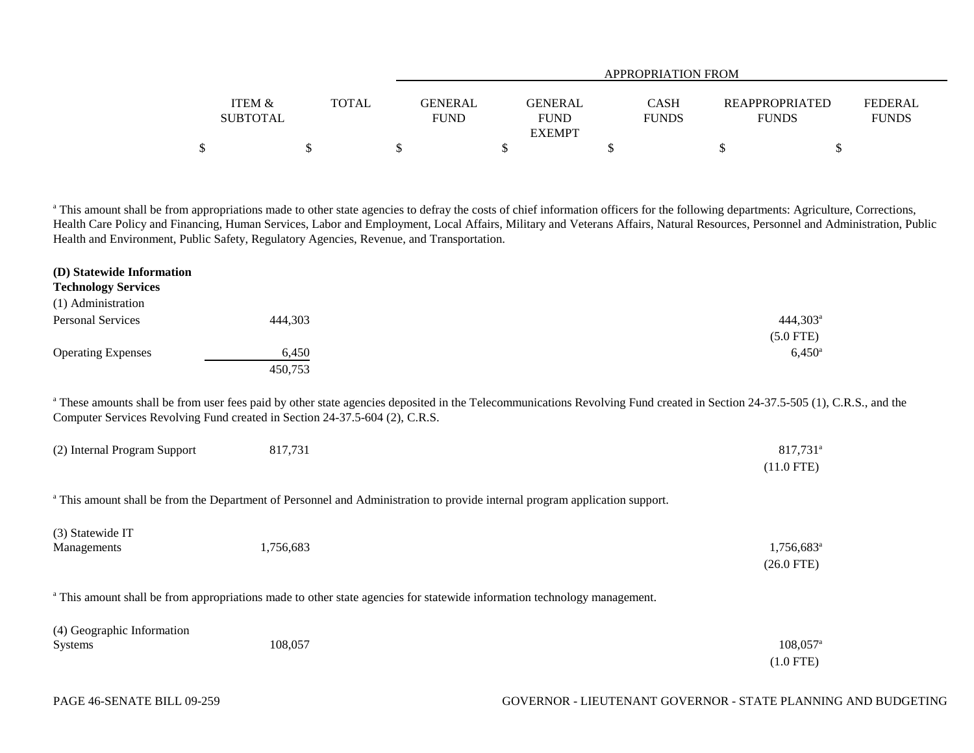|                   |              |                | <b>APPROPRIATION FROM</b> |              |                       |              |  |  |  |
|-------------------|--------------|----------------|---------------------------|--------------|-----------------------|--------------|--|--|--|
| <b>ITEM &amp;</b> | <b>TOTAL</b> | <b>GENERAL</b> | <b>GENERAL</b>            | CASH         | <b>REAPPROPRIATED</b> | FEDERAL      |  |  |  |
| <b>SUBTOTAL</b>   |              | <b>FUND</b>    | <b>FUND</b>               | <b>FUNDS</b> | <b>FUNDS</b>          | <b>FUNDS</b> |  |  |  |
|                   |              |                | <b>EXEMPT</b>             |              |                       |              |  |  |  |
|                   |              |                |                           |              |                       |              |  |  |  |

<sup>a</sup> This amount shall be from appropriations made to other state agencies to defray the costs of chief information officers for the following departments: Agriculture, Corrections, Health Care Policy and Financing, Human Services, Labor and Employment, Local Affairs, Military and Veterans Affairs, Natural Resources, Personnel and Administration, Public Health and Environment, Public Safety, Regulatory Agencies, Revenue, and Transportation.

| (D) Statewide Information<br><b>Technology Services</b>                     |                  |                                                                                                                                                                                        |
|-----------------------------------------------------------------------------|------------------|----------------------------------------------------------------------------------------------------------------------------------------------------------------------------------------|
| (1) Administration                                                          |                  |                                                                                                                                                                                        |
| <b>Personal Services</b>                                                    | 444,303          | $444,303^{\circ}$                                                                                                                                                                      |
|                                                                             |                  | $(5.0$ FTE)                                                                                                                                                                            |
|                                                                             |                  | $6,450^{\circ}$                                                                                                                                                                        |
| <b>Operating Expenses</b>                                                   | 6,450<br>450,753 |                                                                                                                                                                                        |
| Computer Services Revolving Fund created in Section 24-37.5-604 (2), C.R.S. |                  | <sup>a</sup> These amounts shall be from user fees paid by other state agencies deposited in the Telecommunications Revolving Fund created in Section 24-37.5-505 (1), C.R.S., and the |
| (2) Internal Program Support                                                | 817,731          | 817,731 <sup>a</sup>                                                                                                                                                                   |
|                                                                             |                  | $(11.0$ FTE)                                                                                                                                                                           |
|                                                                             |                  | <sup>a</sup> This amount shall be from the Department of Personnel and Administration to provide internal program application support.                                                 |
| (3) Statewide IT                                                            |                  |                                                                                                                                                                                        |
| Managements                                                                 | 1,756,683        | $1,756,683$ <sup>a</sup><br>$(26.0$ FTE)                                                                                                                                               |
|                                                                             |                  | <sup>a</sup> This amount shall be from appropriations made to other state agencies for statewide information technology management.                                                    |
| (4) Geographic Information<br><b>Systems</b>                                | 108,057          | $108,057$ <sup>a</sup>                                                                                                                                                                 |
|                                                                             |                  | $(1.0$ FTE)                                                                                                                                                                            |
|                                                                             |                  |                                                                                                                                                                                        |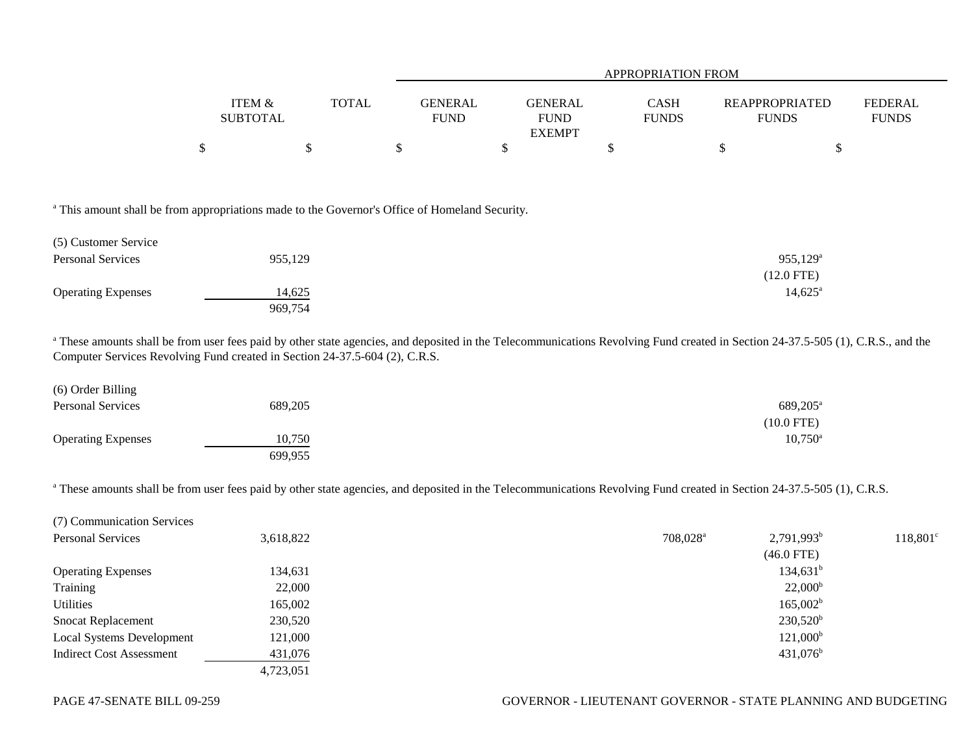|                                      |              | APPROPRIATION FROM            |                               |                      |                                |                                |  |  |
|--------------------------------------|--------------|-------------------------------|-------------------------------|----------------------|--------------------------------|--------------------------------|--|--|
| <b>ITEM &amp;</b><br><b>SUBTOTAL</b> | <b>TOTAL</b> | <b>GENERAL</b><br><b>FUND</b> | <b>GENERAL</b><br><b>FUND</b> | CASH<br><b>FUNDS</b> | REAPPROPRIATED<br><b>FUNDS</b> | <b>FEDERAL</b><br><b>FUNDS</b> |  |  |
|                                      |              |                               | <b>EXEMPT</b>                 |                      |                                |                                |  |  |
|                                      |              |                               |                               |                      |                                |                                |  |  |

<sup>a</sup> This amount shall be from appropriations made to the Governor's Office of Homeland Security.

| (5) Customer Service      |         |                   |
|---------------------------|---------|-------------------|
| <b>Personal Services</b>  | 955,129 | $955,129^{\rm a}$ |
|                           |         | $(12.0$ FTE)      |
| <b>Operating Expenses</b> | 14,625  | $14,625^{\circ}$  |
|                           | 969,754 |                   |

<sup>a</sup> These amounts shall be from user fees paid by other state agencies, and deposited in the Telecommunications Revolving Fund created in Section 24-37.5-505 (1), C.R.S., and the Computer Services Revolving Fund created in Section 24-37.5-604 (2), C.R.S.

| (6) Order Billing         |         |                      |
|---------------------------|---------|----------------------|
| <b>Personal Services</b>  | 689,205 | 689,205 <sup>a</sup> |
|                           |         | $(10.0$ FTE)         |
| <b>Operating Expenses</b> | 10,750  | $10,750^{\circ}$     |
|                           | 699,955 |                      |

<sup>a</sup> These amounts shall be from user fees paid by other state agencies, and deposited in the Telecommunications Revolving Fund created in Section 24-37.5-505 (1), C.R.S.

| (7) Communication Services      |           |                                       |                      |
|---------------------------------|-----------|---------------------------------------|----------------------|
| Personal Services               | 3,618,822 | $2,791,993^b$<br>708,028 <sup>a</sup> | 118,801 <sup>c</sup> |
|                                 |           | $(46.0$ FTE)                          |                      |
| <b>Operating Expenses</b>       | 134,631   | $134,631^b$                           |                      |
| Training                        | 22,000    | $22,000^{\rm b}$                      |                      |
| Utilities                       | 165,002   | $165,002^b$                           |                      |
| <b>Snocat Replacement</b>       | 230,520   | $230,520^{\rm b}$                     |                      |
| Local Systems Development       | 121,000   | $121,000^{\rm b}$                     |                      |
| <b>Indirect Cost Assessment</b> | 431,076   | $431,076^{\rm b}$                     |                      |
|                                 | 4,723,051 |                                       |                      |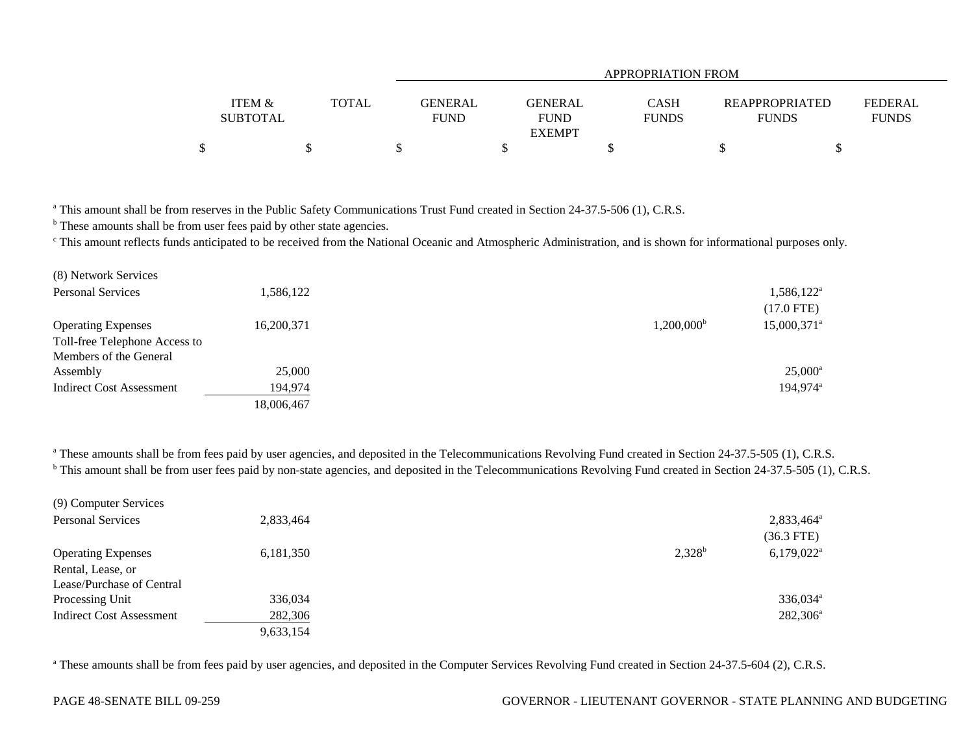|                           |              | APPROPRIATION FROM            |                                         |                             |                                       |                         |  |  |  |
|---------------------------|--------------|-------------------------------|-----------------------------------------|-----------------------------|---------------------------------------|-------------------------|--|--|--|
| ITEM &<br><b>SUBTOTAL</b> | <b>TOTAL</b> | <b>GENERAL</b><br><b>FUND</b> | GENERAL<br><b>FUND</b><br><b>EXEMPT</b> | <b>CASH</b><br><b>FUNDS</b> | <b>REAPPROPRIATED</b><br><b>FUNDS</b> | FEDERAL<br><b>FUNDS</b> |  |  |  |
| \$                        |              |                               |                                         |                             |                                       |                         |  |  |  |

<sup>a</sup> This amount shall be from reserves in the Public Safety Communications Trust Fund created in Section 24-37.5-506 (1), C.R.S.

**b** These amounts shall be from user fees paid by other state agencies.

<sup>c</sup> This amount reflects funds anticipated to be received from the National Oceanic and Atmospheric Administration, and is shown for informational purposes only.

| (8) Network Services          |            |                     |                      |
|-------------------------------|------------|---------------------|----------------------|
| <b>Personal Services</b>      | 1,586,122  |                     | $1,586,122^{\circ}$  |
|                               |            |                     | $(17.0$ FTE)         |
| <b>Operating Expenses</b>     | 16,200,371 | $1,200,000^{\rm b}$ | 15,000,371           |
| Toll-free Telephone Access to |            |                     |                      |
| Members of the General        |            |                     |                      |
| Assembly                      | 25,000     |                     | $25,000^{\circ}$     |
| Indirect Cost Assessment      | 194,974    |                     | 194,974 <sup>a</sup> |
|                               | 18,006,467 |                     |                      |
|                               |            |                     |                      |

<sup>a</sup> These amounts shall be from fees paid by user agencies, and deposited in the Telecommunications Revolving Fund created in Section 24-37.5-505 (1), C.R.S. <sup>b</sup> This amount shall be from user fees paid by non-state agencies, and deposited in the Telecommunications Revolving Fund created in Section 24-37.5-505 (1), C.R.S.

| (9) Computer Services           |           |           |                          |
|---------------------------------|-----------|-----------|--------------------------|
| <b>Personal Services</b>        | 2,833,464 |           | 2,833,464 <sup>a</sup>   |
|                                 |           |           | $(36.3$ FTE)             |
| <b>Operating Expenses</b>       | 6,181,350 | $2,328^b$ | $6,179,022$ <sup>a</sup> |
| Rental, Lease, or               |           |           |                          |
| Lease/Purchase of Central       |           |           |                          |
| Processing Unit                 | 336,034   |           | 336,034 <sup>a</sup>     |
| <b>Indirect Cost Assessment</b> | 282,306   |           | $282,306^a$              |
|                                 | 9,633,154 |           |                          |

<sup>a</sup> These amounts shall be from fees paid by user agencies, and deposited in the Computer Services Revolving Fund created in Section 24-37.5-604 (2), C.R.S.